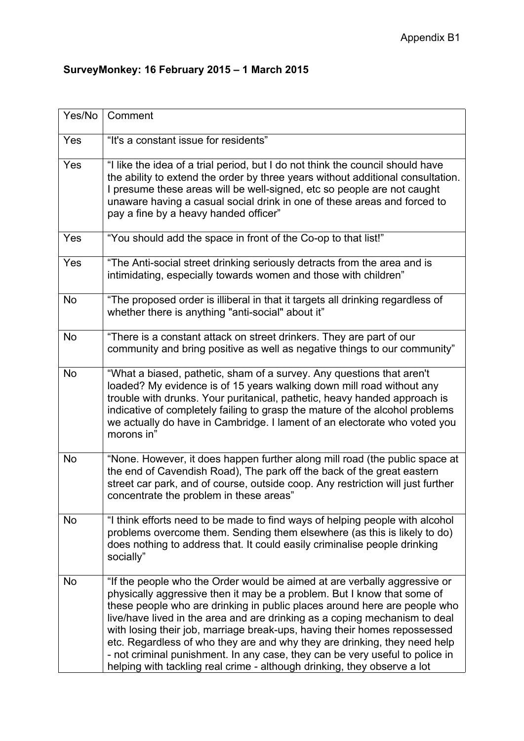## **SurveyMonkey: 16 February 2015 – 1 March 2015**

| Yes/No    | Comment                                                                                                                                                                                                                                                                                                                                                                                                                                                                                                                                                                                                                               |
|-----------|---------------------------------------------------------------------------------------------------------------------------------------------------------------------------------------------------------------------------------------------------------------------------------------------------------------------------------------------------------------------------------------------------------------------------------------------------------------------------------------------------------------------------------------------------------------------------------------------------------------------------------------|
| Yes       | "It's a constant issue for residents"                                                                                                                                                                                                                                                                                                                                                                                                                                                                                                                                                                                                 |
| Yes       | "I like the idea of a trial period, but I do not think the council should have<br>the ability to extend the order by three years without additional consultation.<br>I presume these areas will be well-signed, etc so people are not caught<br>unaware having a casual social drink in one of these areas and forced to<br>pay a fine by a heavy handed officer"                                                                                                                                                                                                                                                                     |
| Yes       | "You should add the space in front of the Co-op to that list!"                                                                                                                                                                                                                                                                                                                                                                                                                                                                                                                                                                        |
| Yes       | "The Anti-social street drinking seriously detracts from the area and is<br>intimidating, especially towards women and those with children"                                                                                                                                                                                                                                                                                                                                                                                                                                                                                           |
| <b>No</b> | "The proposed order is illiberal in that it targets all drinking regardless of<br>whether there is anything "anti-social" about it"                                                                                                                                                                                                                                                                                                                                                                                                                                                                                                   |
| <b>No</b> | "There is a constant attack on street drinkers. They are part of our<br>community and bring positive as well as negative things to our community"                                                                                                                                                                                                                                                                                                                                                                                                                                                                                     |
| <b>No</b> | "What a biased, pathetic, sham of a survey. Any questions that aren't<br>loaded? My evidence is of 15 years walking down mill road without any<br>trouble with drunks. Your puritanical, pathetic, heavy handed approach is<br>indicative of completely failing to grasp the mature of the alcohol problems<br>we actually do have in Cambridge. I lament of an electorate who voted you<br>morons in"                                                                                                                                                                                                                                |
| <b>No</b> | "None. However, it does happen further along mill road (the public space at<br>the end of Cavendish Road), The park off the back of the great eastern<br>street car park, and of course, outside coop. Any restriction will just further<br>concentrate the problem in these areas"                                                                                                                                                                                                                                                                                                                                                   |
| <b>No</b> | "I think efforts need to be made to find ways of helping people with alcohol<br>problems overcome them. Sending them elsewhere (as this is likely to do)<br>does nothing to address that. It could easily criminalise people drinking<br>socially"                                                                                                                                                                                                                                                                                                                                                                                    |
| <b>No</b> | "If the people who the Order would be aimed at are verbally aggressive or<br>physically aggressive then it may be a problem. But I know that some of<br>these people who are drinking in public places around here are people who<br>live/have lived in the area and are drinking as a coping mechanism to deal<br>with losing their job, marriage break-ups, having their homes repossessed<br>etc. Regardless of who they are and why they are drinking, they need help<br>- not criminal punishment. In any case, they can be very useful to police in<br>helping with tackling real crime - although drinking, they observe a lot |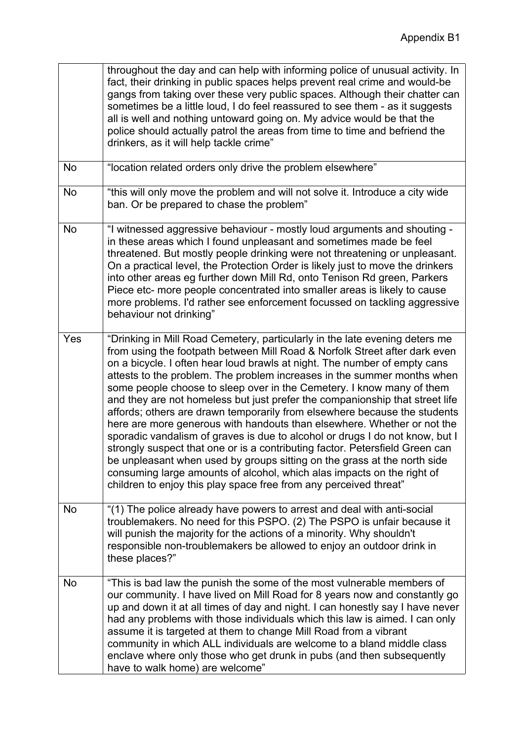|           | throughout the day and can help with informing police of unusual activity. In<br>fact, their drinking in public spaces helps prevent real crime and would-be<br>gangs from taking over these very public spaces. Although their chatter can<br>sometimes be a little loud, I do feel reassured to see them - as it suggests<br>all is well and nothing untoward going on. My advice would be that the<br>police should actually patrol the areas from time to time and befriend the<br>drinkers, as it will help tackle crime"                                                                                                                                                                                                                                                                                                                                                                                                                                                                                                |
|-----------|-------------------------------------------------------------------------------------------------------------------------------------------------------------------------------------------------------------------------------------------------------------------------------------------------------------------------------------------------------------------------------------------------------------------------------------------------------------------------------------------------------------------------------------------------------------------------------------------------------------------------------------------------------------------------------------------------------------------------------------------------------------------------------------------------------------------------------------------------------------------------------------------------------------------------------------------------------------------------------------------------------------------------------|
| No        | "location related orders only drive the problem elsewhere"                                                                                                                                                                                                                                                                                                                                                                                                                                                                                                                                                                                                                                                                                                                                                                                                                                                                                                                                                                    |
| <b>No</b> | "this will only move the problem and will not solve it. Introduce a city wide<br>ban. Or be prepared to chase the problem"                                                                                                                                                                                                                                                                                                                                                                                                                                                                                                                                                                                                                                                                                                                                                                                                                                                                                                    |
| No        | "I witnessed aggressive behaviour - mostly loud arguments and shouting -<br>in these areas which I found unpleasant and sometimes made be feel<br>threatened. But mostly people drinking were not threatening or unpleasant.<br>On a practical level, the Protection Order is likely just to move the drinkers<br>into other areas eg further down Mill Rd, onto Tenison Rd green, Parkers<br>Piece etc- more people concentrated into smaller areas is likely to cause<br>more problems. I'd rather see enforcement focussed on tackling aggressive<br>behaviour not drinking"                                                                                                                                                                                                                                                                                                                                                                                                                                               |
| Yes       | "Drinking in Mill Road Cemetery, particularly in the late evening deters me<br>from using the footpath between Mill Road & Norfolk Street after dark even<br>on a bicycle. I often hear loud brawls at night. The number of empty cans<br>attests to the problem. The problem increases in the summer months when<br>some people choose to sleep over in the Cemetery. I know many of them<br>and they are not homeless but just prefer the companionship that street life<br>affords; others are drawn temporarily from elsewhere because the students<br>here are more generous with handouts than elsewhere. Whether or not the<br>sporadic vandalism of graves is due to alcohol or drugs I do not know, but I<br>strongly suspect that one or is a contributing factor. Petersfield Green can<br>be unpleasant when used by groups sitting on the grass at the north side<br>consuming large amounts of alcohol, which alas impacts on the right of<br>children to enjoy this play space free from any perceived threat" |
| No        | "(1) The police already have powers to arrest and deal with anti-social<br>troublemakers. No need for this PSPO. (2) The PSPO is unfair because it<br>will punish the majority for the actions of a minority. Why shouldn't<br>responsible non-troublemakers be allowed to enjoy an outdoor drink in<br>these places?"                                                                                                                                                                                                                                                                                                                                                                                                                                                                                                                                                                                                                                                                                                        |
| <b>No</b> | "This is bad law the punish the some of the most vulnerable members of<br>our community. I have lived on Mill Road for 8 years now and constantly go<br>up and down it at all times of day and night. I can honestly say I have never<br>had any problems with those individuals which this law is aimed. I can only<br>assume it is targeted at them to change Mill Road from a vibrant<br>community in which ALL individuals are welcome to a bland middle class<br>enclave where only those who get drunk in pubs (and then subsequently<br>have to walk home) are welcome"                                                                                                                                                                                                                                                                                                                                                                                                                                                |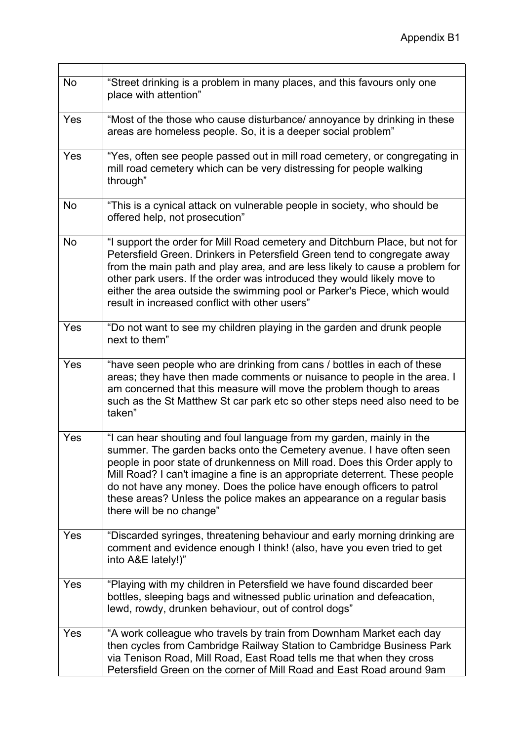| <b>No</b>  | "Street drinking is a problem in many places, and this favours only one<br>place with attention"                                                                                                                                                                                                                                                                                                                                                                                        |
|------------|-----------------------------------------------------------------------------------------------------------------------------------------------------------------------------------------------------------------------------------------------------------------------------------------------------------------------------------------------------------------------------------------------------------------------------------------------------------------------------------------|
| Yes        | "Most of the those who cause disturbance/ annoyance by drinking in these<br>areas are homeless people. So, it is a deeper social problem"                                                                                                                                                                                                                                                                                                                                               |
| Yes        | "Yes, often see people passed out in mill road cemetery, or congregating in<br>mill road cemetery which can be very distressing for people walking<br>through"                                                                                                                                                                                                                                                                                                                          |
| No         | "This is a cynical attack on vulnerable people in society, who should be<br>offered help, not prosecution"                                                                                                                                                                                                                                                                                                                                                                              |
| <b>No</b>  | "I support the order for Mill Road cemetery and Ditchburn Place, but not for<br>Petersfield Green. Drinkers in Petersfield Green tend to congregate away<br>from the main path and play area, and are less likely to cause a problem for<br>other park users. If the order was introduced they would likely move to<br>either the area outside the swimming pool or Parker's Piece, which would<br>result in increased conflict with other users"                                       |
| Yes        | "Do not want to see my children playing in the garden and drunk people<br>next to them"                                                                                                                                                                                                                                                                                                                                                                                                 |
| Yes        | "have seen people who are drinking from cans / bottles in each of these<br>areas; they have then made comments or nuisance to people in the area. I<br>am concerned that this measure will move the problem though to areas<br>such as the St Matthew St car park etc so other steps need also need to be<br>taken"                                                                                                                                                                     |
| Yes        | "I can hear shouting and foul language from my garden, mainly in the<br>summer. The garden backs onto the Cemetery avenue. I have often seen<br>people in poor state of drunkenness on Mill road. Does this Order apply to<br>Mill Road? I can't imagine a fine is an appropriate deterrent. These people<br>do not have any money. Does the police have enough officers to patrol<br>these areas? Unless the police makes an appearance on a regular basis<br>there will be no change" |
| <b>Yes</b> | "Discarded syringes, threatening behaviour and early morning drinking are<br>comment and evidence enough I think! (also, have you even tried to get<br>into A&E lately!)"                                                                                                                                                                                                                                                                                                               |
| Yes        | "Playing with my children in Petersfield we have found discarded beer<br>bottles, sleeping bags and witnessed public urination and defeacation,<br>lewd, rowdy, drunken behaviour, out of control dogs"                                                                                                                                                                                                                                                                                 |
| <b>Yes</b> | "A work colleague who travels by train from Downham Market each day<br>then cycles from Cambridge Railway Station to Cambridge Business Park<br>via Tenison Road, Mill Road, East Road tells me that when they cross<br>Petersfield Green on the corner of Mill Road and East Road around 9am                                                                                                                                                                                           |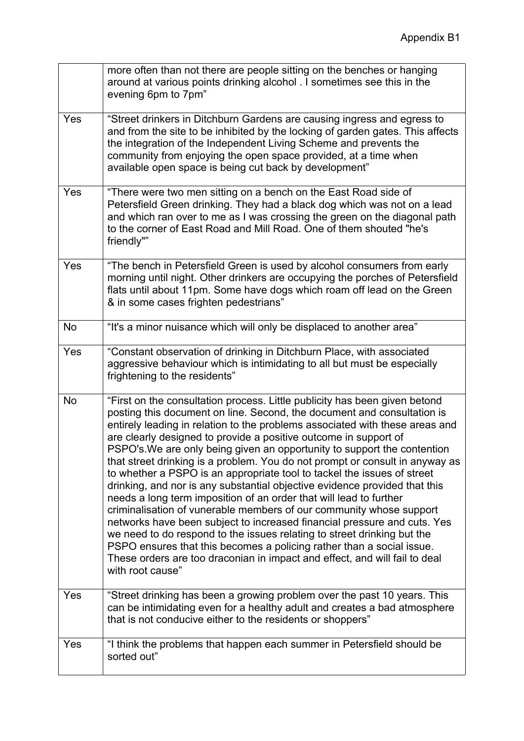|            | more often than not there are people sitting on the benches or hanging<br>around at various points drinking alcohol . I sometimes see this in the<br>evening 6pm to 7pm"                                                                                                                                                                                                                                                                                                                                                                                                                                                                                                                                                                                                                                                                                                                                                                                                                                                                                                                                      |
|------------|---------------------------------------------------------------------------------------------------------------------------------------------------------------------------------------------------------------------------------------------------------------------------------------------------------------------------------------------------------------------------------------------------------------------------------------------------------------------------------------------------------------------------------------------------------------------------------------------------------------------------------------------------------------------------------------------------------------------------------------------------------------------------------------------------------------------------------------------------------------------------------------------------------------------------------------------------------------------------------------------------------------------------------------------------------------------------------------------------------------|
| Yes        | "Street drinkers in Ditchburn Gardens are causing ingress and egress to<br>and from the site to be inhibited by the locking of garden gates. This affects<br>the integration of the Independent Living Scheme and prevents the<br>community from enjoying the open space provided, at a time when<br>available open space is being cut back by development"                                                                                                                                                                                                                                                                                                                                                                                                                                                                                                                                                                                                                                                                                                                                                   |
| Yes        | "There were two men sitting on a bench on the East Road side of<br>Petersfield Green drinking. They had a black dog which was not on a lead<br>and which ran over to me as I was crossing the green on the diagonal path<br>to the corner of East Road and Mill Road. One of them shouted "he's<br>friendly""                                                                                                                                                                                                                                                                                                                                                                                                                                                                                                                                                                                                                                                                                                                                                                                                 |
| Yes        | "The bench in Petersfield Green is used by alcohol consumers from early<br>morning until night. Other drinkers are occupying the porches of Petersfield<br>flats until about 11pm. Some have dogs which roam off lead on the Green<br>& in some cases frighten pedestrians"                                                                                                                                                                                                                                                                                                                                                                                                                                                                                                                                                                                                                                                                                                                                                                                                                                   |
| <b>No</b>  | "It's a minor nuisance which will only be displaced to another area"                                                                                                                                                                                                                                                                                                                                                                                                                                                                                                                                                                                                                                                                                                                                                                                                                                                                                                                                                                                                                                          |
| Yes        | "Constant observation of drinking in Ditchburn Place, with associated<br>aggressive behaviour which is intimidating to all but must be especially<br>frightening to the residents"                                                                                                                                                                                                                                                                                                                                                                                                                                                                                                                                                                                                                                                                                                                                                                                                                                                                                                                            |
| <b>No</b>  | "First on the consultation process. Little publicity has been given betond<br>posting this document on line. Second, the document and consultation is<br>entirely leading in relation to the problems associated with these areas and<br>are clearly designed to provide a positive outcome in support of<br>PSPO's. We are only being given an opportunity to support the contention<br>that street drinking is a problem. You do not prompt or consult in anyway as<br>to whether a PSPO is an appropriate tool to tackel the issues of street<br>drinking, and nor is any substantial objective evidence provided that this<br>needs a long term imposition of an order that will lead to further<br>criminalisation of vunerable members of our community whose support<br>networks have been subject to increased financial pressure and cuts. Yes<br>we need to do respond to the issues relating to street drinking but the<br>PSPO ensures that this becomes a policing rather than a social issue.<br>These orders are too draconian in impact and effect, and will fail to deal<br>with root cause" |
| Yes        | "Street drinking has been a growing problem over the past 10 years. This<br>can be intimidating even for a healthy adult and creates a bad atmosphere<br>that is not conducive either to the residents or shoppers"                                                                                                                                                                                                                                                                                                                                                                                                                                                                                                                                                                                                                                                                                                                                                                                                                                                                                           |
| <b>Yes</b> | "I think the problems that happen each summer in Petersfield should be<br>sorted out"                                                                                                                                                                                                                                                                                                                                                                                                                                                                                                                                                                                                                                                                                                                                                                                                                                                                                                                                                                                                                         |